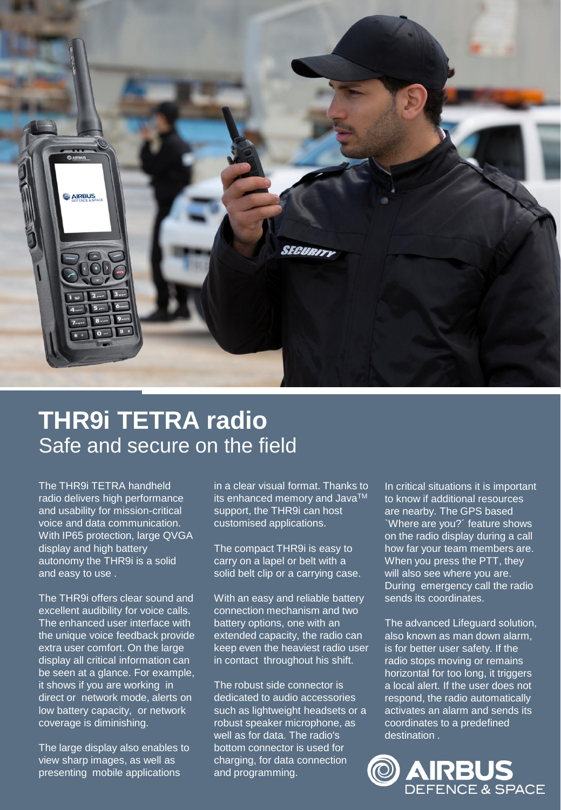

## **THR9i TETRA radio** Safe and secure on the field

The THR9i TETRA handheld radio delivers high performance and usability for mission-critical voice and data communication. With IP65 protection, large QVGA display and high battery autonomy the THR9i is a solid and easy to use .

The THR9i offers clear sound and excellent audibility for voice calls. The enhanced user interface with the unique voice feedback provide extra user comfort. On the large display all critical information can be seen at a glance. For example, it shows if you are working in direct or network mode, alerts on low battery capacity, or network coverage is diminishing.

The large display also enables to view sharp images, as well as presenting mobile applications

in a clear visual format. Thanks to its enhanced memory and Java<sup>TM</sup> support, the THR9i can host customised applications.

The compact THR9i is easy to carry on a lapel or belt with a solid belt clip or a carrying case.

With an easy and reliable battery connection mechanism and two battery options, one with an extended capacity, the radio can keep even the heaviest radio user in contact throughout his shift.

The robust side connector is dedicated to audio accessories such as lightweight headsets or a robust speaker microphone, as well as for data. The radio's bottom connector is used for charging, for data connection and programming.

In critical situations it is important to know if additional resources are nearby. The GPS based `Where are you?´ feature shows on the radio display during a call how far your team members are. When you press the PTT, they will also see where you are. During emergency call the radio sends its coordinates.

The advanced Lifeguard solution, also known as man down alarm, is for better user safety. If the radio stops moving or remains horizontal for too long, it triggers a local alert. If the user does not respond, the radio automatically activates an alarm and sends its coordinates to a predefined destination .